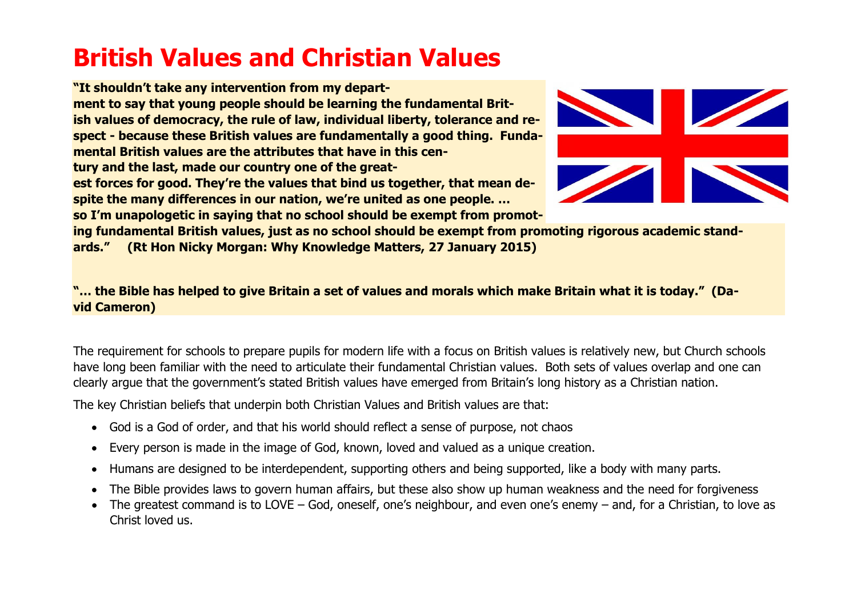# **British Values and Christian Values**

**"It shouldn't take any intervention from my department to say that young people should be learning the fundamental British values of democracy, the rule of law, individual liberty, tolerance and respect ‐ because these British values are fundamentally a good thing. Fundamental British values are the attributes that have in this century and the last, made our country one of the greatest forces for good. They're the values that bind us together, that mean despite the many differences in our nation, we're united as one people. … so I'm unapologetic in saying that no school should be exempt from promot-**



**ing fundamental British values, just as no school should be exempt from promoting rigorous academic standards." (Rt Hon Nicky Morgan: Why Knowledge Matters, 27 January 2015)**

"... the Bible has helped to give Britain a set of values and morals which make Britain what it is today." (Da**vid Cameron)**

The requirement for schools to prepare pupils for modern life with a focus on British values is relatively new, but Church schools have long been familiar with the need to articulate their fundamental Christian values. Both sets of values overlap and one can clearly argue that the government's stated British values have emerged from Britain's long history as a Christian nation.

The key Christian beliefs that underpin both Christian Values and British values are that:

- God is a God of order, and that his world should reflect a sense of purpose, not chaos
- Every person is made in the image of God, known, loved and valued as a unique creation.
- Humans are designed to be interdependent, supporting others and being supported, like a body with many parts.
- The Bible provides laws to govern human affairs, but these also show up human weakness and the need for forgiveness
- The greatest command is to LOVE God, oneself, one's neighbour, and even one's enemy and, for a Christian, to love as Christ loved us.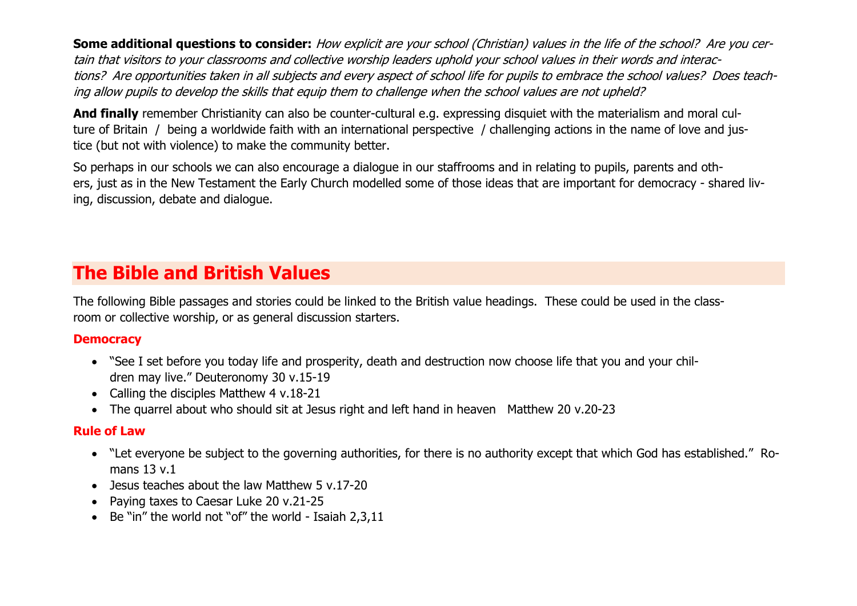**Some additional questions to consider:** How explicit are your school (Christian) values in the life of the school? Are you certain that visitors to your classrooms and collective worship leaders uphold your school values in their words and interactions? Are opportunities taken in all subjects and every aspect of school life for pupils to embrace the school values? Does teaching allow pupils to develop the skills that equip them to challenge when the school values are not upheld?

**And finally** remember Christianity can also be counter-cultural e.g. expressing disquiet with the materialism and moral culture of Britain / being a worldwide faith with an international perspective / challenging actions in the name of love and justice (but not with violence) to make the community better.

So perhaps in our schools we can also encourage a dialogue in our staffrooms and in relating to pupils, parents and others, just as in the New Testament the Early Church modelled some of those ideas that are important for democracy ‐ shared living, discussion, debate and dialogue.

## **The Bible and British Values**

The following Bible passages and stories could be linked to the British value headings. These could be used in the classroom or collective worship, or as general discussion starters.

#### **Democracy**

- "See I set before you today life and prosperity, death and destruction now choose life that you and your children may live." Deuteronomy 30 v.15‐19
- Calling the disciples Matthew 4 v.18-21
- The quarrel about who should sit at Jesus right and left hand in heaven Matthew 20 v.20-23

#### **Rule of Law**

- "Let everyone be subject to the governing authorities, for there is no authority except that which God has established." Romans 13 v.1
- Jesus teaches about the law Matthew 5 v.17-20
- Paying taxes to Caesar Luke 20 v.21-25
- Be "in" the world not "of" the world Isaiah 2.3.11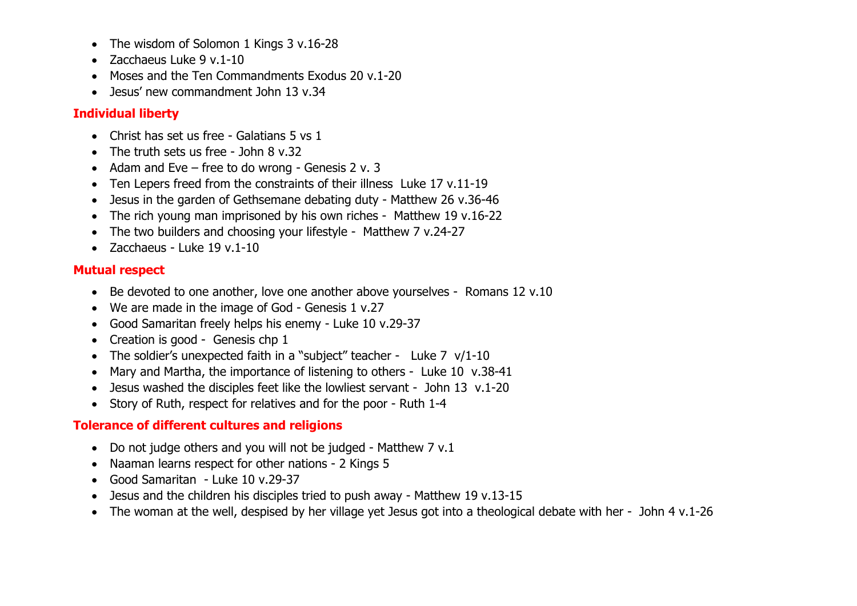- The wisdom of Solomon 1 Kings 3 v.16-28
- Zacchaeus Luke 9 v.1‐10
- Moses and the Ten Commandments Exodus 20 y.1-20
- Jesus' new commandment John 13 v.34

#### **Individual liberty**

- Christ has set us free Galatians 5 vs 1
- The truth sets us free John 8 v.32
- Adam and Eve free to do wrong Genesis 2 v. 3
- Ten Lepers freed from the constraints of their illness Luke 17 v.11-19
- Jesus in the garden of Gethsemane debating duty Matthew 26 v.36-46
- The rich young man imprisoned by his own riches Matthew 19 v.16-22
- The two builders and choosing your lifestyle Matthew 7 v.24-27
- Zacchaeus Luke 19 v.1-10

#### **Mutual respect**

- Be devoted to one another, love one another above yourselves Romans 12 v.10
- We are made in the image of God Genesis 1 v.27
- Good Samaritan freely helps his enemy ‐ Luke 10 v.29‐37
- Creation is good Genesis chp 1
- The soldier's unexpected faith in a "subject" teacher Luke 7 v/1-10
- Mary and Martha, the importance of listening to others Luke 10 v.38-41
- Jesus washed the disciples feet like the lowliest servant John 13 v.1-20
- Story of Ruth, respect for relatives and for the poor Ruth 1-4

### **Tolerance of different cultures and religions**

- Do not judge others and you will not be judged Matthew 7 v.1
- Naaman learns respect for other nations ‐ 2 Kings 5
- Good Samaritan Luke 10 v.29-37
- Jesus and the children his disciples tried to push away Matthew 19 v.13-15
- The woman at the well, despised by her village yet Jesus got into a theological debate with her John 4 v.1-26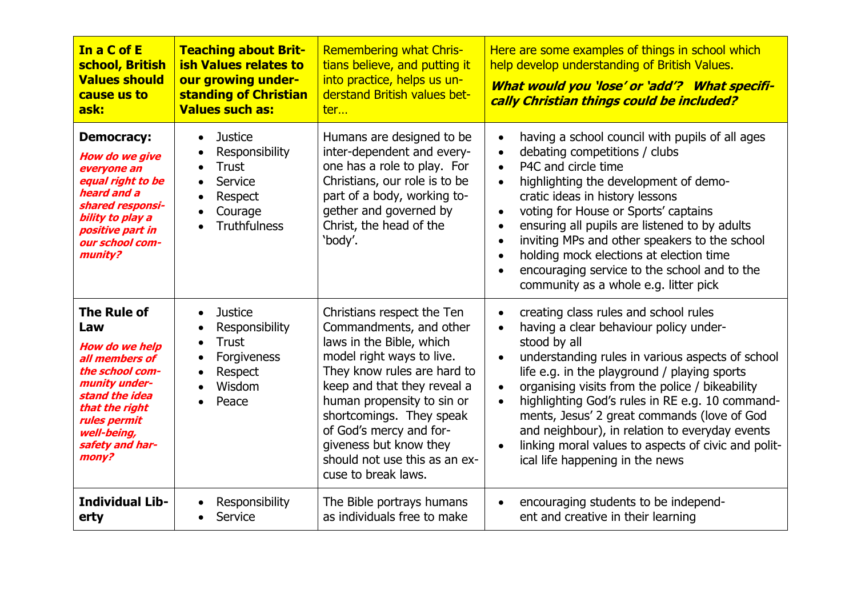| In a C of E<br>school, British<br><b>Values should</b><br>cause us to<br>ask:                                                                                                                           | <b>Teaching about Brit-</b><br><b>ish Values relates to</b><br>our growing under-<br>standing of Christian<br><b>Values such as:</b>              | <b>Remembering what Chris-</b><br>tians believe, and putting it<br>into practice, helps us un-<br>derstand British values bet-<br>ter                                                                                                                                                                                                               | Here are some examples of things in school which<br>help develop understanding of British Values.<br>What would you 'lose' or 'add'? What specifi-<br>cally Christian things could be included?                                                                                                                                                                                                                                                                                                          |
|---------------------------------------------------------------------------------------------------------------------------------------------------------------------------------------------------------|---------------------------------------------------------------------------------------------------------------------------------------------------|-----------------------------------------------------------------------------------------------------------------------------------------------------------------------------------------------------------------------------------------------------------------------------------------------------------------------------------------------------|----------------------------------------------------------------------------------------------------------------------------------------------------------------------------------------------------------------------------------------------------------------------------------------------------------------------------------------------------------------------------------------------------------------------------------------------------------------------------------------------------------|
| <b>Democracy:</b><br><b>How do we give</b><br>everyone an<br>equal right to be<br>heard and a<br>shared responsi-<br>bility to play a<br>positive part in<br>our school com-<br>munity?                 | <b>Justice</b><br>$\bullet$<br>Responsibility<br><b>Trust</b><br>Service<br>Respect<br>$\bullet$<br>Courage<br><b>Truthfulness</b>                | Humans are designed to be<br>inter-dependent and every-<br>one has a role to play. For<br>Christians, our role is to be<br>part of a body, working to-<br>gether and governed by<br>Christ, the head of the<br>'body'.                                                                                                                              | having a school council with pupils of all ages<br>debating competitions / clubs<br>$\bullet$<br>P4C and circle time<br>$\bullet$<br>highlighting the development of demo-<br>cratic ideas in history lessons<br>voting for House or Sports' captains<br>$\bullet$<br>ensuring all pupils are listened to by adults<br>inviting MPs and other speakers to the school<br>holding mock elections at election time<br>encouraging service to the school and to the<br>community as a whole e.g. litter pick |
| <b>The Rule of</b><br>Law<br><b>How do we help</b><br>all members of<br>the school com-<br>munity under-<br>stand the idea<br>that the right<br>rules permit<br>well-being,<br>safety and har-<br>mony? | <b>Justice</b><br>$\bullet$<br>Responsibility<br><b>Trust</b><br>$\bullet$<br>Forgiveness<br>$\bullet$<br>Respect<br>$\bullet$<br>Wisdom<br>Peace | Christians respect the Ten<br>Commandments, and other<br>laws in the Bible, which<br>model right ways to live.<br>They know rules are hard to<br>keep and that they reveal a<br>human propensity to sin or<br>shortcomings. They speak<br>of God's mercy and for-<br>giveness but know they<br>should not use this as an ex-<br>cuse to break laws. | creating class rules and school rules<br>having a clear behaviour policy under-<br>stood by all<br>understanding rules in various aspects of school<br>life e.g. in the playground / playing sports<br>organising visits from the police / bikeability<br>highlighting God's rules in RE e.g. 10 command-<br>ments, Jesus' 2 great commands (love of God<br>and neighbour), in relation to everyday events<br>linking moral values to aspects of civic and polit-<br>ical life happening in the news     |
| <b>Individual Lib-</b><br>erty                                                                                                                                                                          | Responsibility<br>Service                                                                                                                         | The Bible portrays humans<br>as individuals free to make                                                                                                                                                                                                                                                                                            | encouraging students to be independ-<br>ent and creative in their learning                                                                                                                                                                                                                                                                                                                                                                                                                               |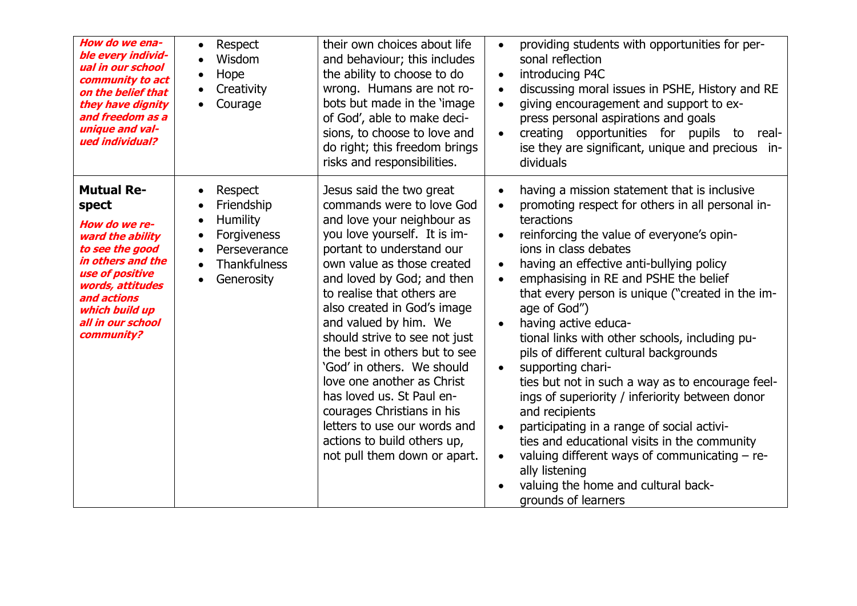| How do we ena-<br>ble every individ-<br>ual in our school<br>community to act<br>on the belief that<br>they have dignity<br>and freedom as a<br>unique and val-<br>ued individual?                                 | Respect<br>$\bullet$<br>Wisdom<br>Hope<br>$\bullet$<br>Creativity<br>$\bullet$<br>Courage<br>$\bullet$                                                                                     | their own choices about life<br>and behaviour; this includes<br>the ability to choose to do<br>wrong. Humans are not ro-<br>bots but made in the 'image<br>of God', able to make deci-<br>sions, to choose to love and<br>do right; this freedom brings<br>risks and responsibilities.                                                                                                                                                                                                                                                                                                     | providing students with opportunities for per-<br>sonal reflection<br>introducing P4C<br>$\bullet$<br>discussing moral issues in PSHE, History and RE<br>giving encouragement and support to ex-<br>press personal aspirations and goals<br>creating opportunities for pupils to real-<br>ise they are significant, unique and precious in-<br>dividuals                                                                                                                                                                                                                                                                                                                                                                                                                                                                                       |
|--------------------------------------------------------------------------------------------------------------------------------------------------------------------------------------------------------------------|--------------------------------------------------------------------------------------------------------------------------------------------------------------------------------------------|--------------------------------------------------------------------------------------------------------------------------------------------------------------------------------------------------------------------------------------------------------------------------------------------------------------------------------------------------------------------------------------------------------------------------------------------------------------------------------------------------------------------------------------------------------------------------------------------|------------------------------------------------------------------------------------------------------------------------------------------------------------------------------------------------------------------------------------------------------------------------------------------------------------------------------------------------------------------------------------------------------------------------------------------------------------------------------------------------------------------------------------------------------------------------------------------------------------------------------------------------------------------------------------------------------------------------------------------------------------------------------------------------------------------------------------------------|
| <b>Mutual Re-</b><br>spect<br>How do we re-<br>ward the ability<br>to see the good<br>in others and the<br>use of positive<br>words, attitudes<br>and actions<br>which build up<br>all in our school<br>community? | Respect<br>$\bullet$<br>Friendship<br><b>Humility</b><br>$\bullet$<br>Forgiveness<br>$\bullet$<br>Perseverance<br>$\bullet$<br><b>Thankfulness</b><br>$\bullet$<br>Generosity<br>$\bullet$ | Jesus said the two great<br>commands were to love God<br>and love your neighbour as<br>you love yourself. It is im-<br>portant to understand our<br>own value as those created<br>and loved by God; and then<br>to realise that others are<br>also created in God's image<br>and valued by him. We<br>should strive to see not just<br>the best in others but to see<br>'God' in others. We should<br>love one another as Christ<br>has loved us. St Paul en-<br>courages Christians in his<br>letters to use our words and<br>actions to build others up,<br>not pull them down or apart. | having a mission statement that is inclusive<br>promoting respect for others in all personal in-<br>teractions<br>reinforcing the value of everyone's opin-<br>jons in class debates<br>having an effective anti-bullying policy<br>emphasising in RE and PSHE the belief<br>that every person is unique ("created in the im-<br>age of God")<br>having active educa-<br>tional links with other schools, including pu-<br>pils of different cultural backgrounds<br>supporting chari-<br>ties but not in such a way as to encourage feel-<br>ings of superiority / inferiority between donor<br>and recipients<br>participating in a range of social activi-<br>ties and educational visits in the community<br>valuing different ways of communicating - re-<br>ally listening<br>valuing the home and cultural back-<br>grounds of learners |